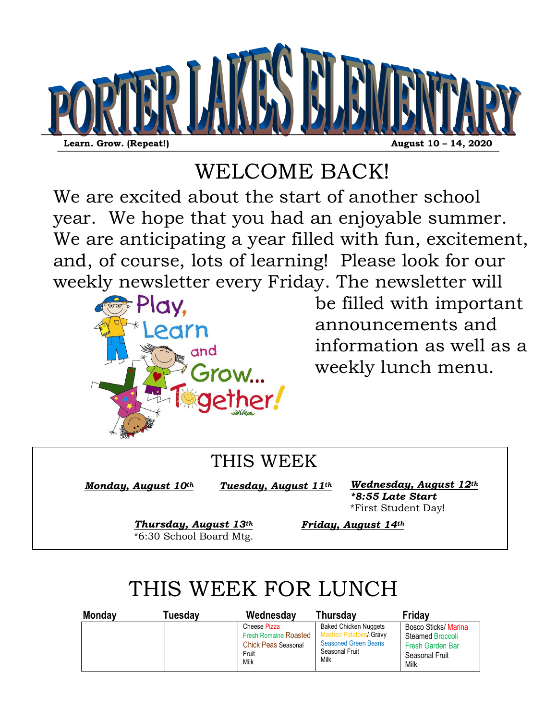

# WELCOME BACK!

We are excited about the start of another school year. We hope that you had an enjoyable summer. We are anticipating a year filled with fun, excitement, and, of course, lots of learning! Please look for our weekly newsletter every Friday. The newsletter will



be filled with important announcements and information as well as a weekly lunch menu.

### THIS WEEK

*Monday, August 10th* 

*Tuesday, August 11th*

*Wednesday, August 12th \*8:55 Late Start* \*First Student Day!

*Thursday, August 13th* \*6:30 School Board Mtg.

*Friday, August 14th*

# THIS WEEK FOR LUNCH

| <b>Monday</b> | <b>Tuesdav</b> | Wednesday                                                                                   | <b>Thursdav</b>                                                                                                        | <b>Fridav</b>                                                                          |
|---------------|----------------|---------------------------------------------------------------------------------------------|------------------------------------------------------------------------------------------------------------------------|----------------------------------------------------------------------------------------|
|               |                | Cheese Pizza<br><b>Fresh Romaine Roasted</b><br><b>Chick Peas Seasonal</b><br>Fruit<br>Milk | <b>Baked Chicken Nuggets</b><br><b>Mashed Potatoes/ Gravy</b><br><b>Seasoned Green Beans</b><br>Seasonal Fruit<br>Milk | Bosco Sticks/ Marina<br>Steamed Broccoli<br>Fresh Garden Bar<br>Seasonal Fruit<br>Milk |